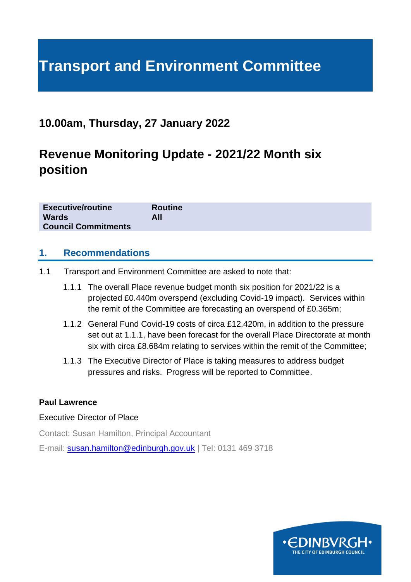# **Transport and Environment Committee**

## **10.00am, Thursday, 27 January 2022**

## **Revenue Monitoring Update - 2021/22 Month six position**

| <b>Executive/routine</b>   | <b>Routine</b> |
|----------------------------|----------------|
| <b>Wards</b>               | All            |
| <b>Council Commitments</b> |                |

#### **1. Recommendations**

- 1.1 Transport and Environment Committee are asked to note that:
	- 1.1.1 The overall Place revenue budget month six position for 2021/22 is a projected £0.440m overspend (excluding Covid-19 impact). Services within the remit of the Committee are forecasting an overspend of £0.365m;
	- 1.1.2 General Fund Covid-19 costs of circa £12.420m, in addition to the pressure set out at 1.1.1, have been forecast for the overall Place Directorate at month six with circa £8.684m relating to services within the remit of the Committee;
	- 1.1.3 The Executive Director of Place is taking measures to address budget pressures and risks. Progress will be reported to Committee.

#### **Paul Lawrence**

#### Executive Director of Place

Contact: Susan Hamilton, Principal Accountant

E-mail: [susan.hamilton@edinburgh.gov.uk](mailto:susan.hamilton@edinburgh.gov.uk) | Tel: 0131 469 3718

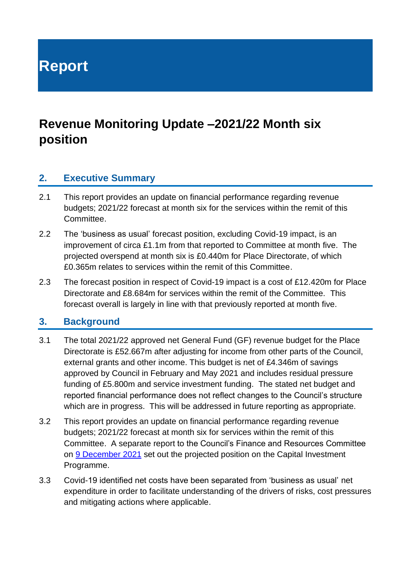**Report**

## **Revenue Monitoring Update –2021/22 Month six position**

#### **2. Executive Summary**

- 2.1 This report provides an update on financial performance regarding revenue budgets; 2021/22 forecast at month six for the services within the remit of this Committee.
- 2.2 The 'business as usual' forecast position, excluding Covid-19 impact, is an improvement of circa £1.1m from that reported to Committee at month five. The projected overspend at month six is £0.440m for Place Directorate, of which £0.365m relates to services within the remit of this Committee.
- 2.3 The forecast position in respect of Covid-19 impact is a cost of £12.420m for Place Directorate and £8.684m for services within the remit of the Committee. This forecast overall is largely in line with that previously reported at month five.

#### **3. Background**

- 3.1 The total 2021/22 approved net General Fund (GF) revenue budget for the Place Directorate is £52.667m after adjusting for income from other parts of the Council, external grants and other income. This budget is net of £4.346m of savings approved by Council in February and May 2021 and includes residual pressure funding of £5.800m and service investment funding. The stated net budget and reported financial performance does not reflect changes to the Council's structure which are in progress. This will be addressed in future reporting as appropriate.
- 3.2 This report provides an update on financial performance regarding revenue budgets; 2021/22 forecast at month six for services within the remit of this Committee. A separate report to the Council's Finance and Resources Committee on [9 December](https://democracy.edinburgh.gov.uk/documents/s41151/7.2%20-%20Capital%20Monitoring%20202122%20-%20Month%20Six%20Position.pdf) 2021 set out the projected position on the Capital Investment Programme.
- 3.3 Covid-19 identified net costs have been separated from 'business as usual' net expenditure in order to facilitate understanding of the drivers of risks, cost pressures and mitigating actions where applicable.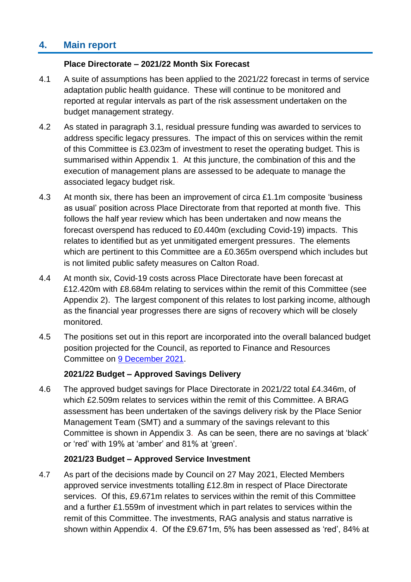## **4. Main report**

#### **Place Directorate – 2021/22 Month Six Forecast**

- 4.1 A suite of assumptions has been applied to the 2021/22 forecast in terms of service adaptation public health guidance. These will continue to be monitored and reported at regular intervals as part of the risk assessment undertaken on the budget management strategy.
- 4.2 As stated in paragraph 3.1, residual pressure funding was awarded to services to address specific legacy pressures. The impact of this on services within the remit of this Committee is £3.023m of investment to reset the operating budget. This is summarised within Appendix 1. At this juncture, the combination of this and the execution of management plans are assessed to be adequate to manage the associated legacy budget risk.
- 4.3 At month six, there has been an improvement of circa £1.1m composite 'business as usual' position across Place Directorate from that reported at month five. This follows the half year review which has been undertaken and now means the forecast overspend has reduced to £0.440m (excluding Covid-19) impacts. This relates to identified but as yet unmitigated emergent pressures. The elements which are pertinent to this Committee are a £0.365m overspend which includes but is not limited public safety measures on Calton Road.
- 4.4 At month six, Covid-19 costs across Place Directorate have been forecast at £12.420m with £8.684m relating to services within the remit of this Committee (see Appendix 2). The largest component of this relates to lost parking income, although as the financial year progresses there are signs of recovery which will be closely monitored.
- 4.5 The positions set out in this report are incorporated into the overall balanced budget position projected for the Council, as reported to Finance and Resources Committee on [9 December](https://democracy.edinburgh.gov.uk/documents/s41150/7.1%20-%20Revenue%20Budget%20Monitoring%20202122%20month%20six%20position.pdf) 2021.

#### **2021/22 Budget – Approved Savings Delivery**

4.6 The approved budget savings for Place Directorate in 2021/22 total £4.346m, of which £2.509m relates to services within the remit of this Committee. A BRAG assessment has been undertaken of the savings delivery risk by the Place Senior Management Team (SMT) and a summary of the savings relevant to this Committee is shown in Appendix 3. As can be seen, there are no savings at 'black' or 'red' with 19% at 'amber' and 81% at 'green'.

#### **2021/23 Budget – Approved Service Investment**

4.7 As part of the decisions made by Council on 27 May 2021, Elected Members approved service investments totalling £12.8m in respect of Place Directorate services. Of this, £9.671m relates to services within the remit of this Committee and a further £1.559m of investment which in part relates to services within the remit of this Committee. The investments, RAG analysis and status narrative is shown within Appendix 4. Of the £9.671m, 5% has been assessed as 'red', 84% at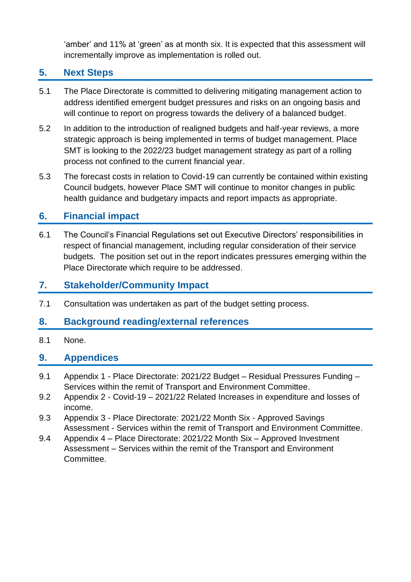'amber' and 11% at 'green' as at month six. It is expected that this assessment will incrementally improve as implementation is rolled out.

## **5. Next Steps**

- 5.1 The Place Directorate is committed to delivering mitigating management action to address identified emergent budget pressures and risks on an ongoing basis and will continue to report on progress towards the delivery of a balanced budget.
- 5.2 In addition to the introduction of realigned budgets and half-year reviews, a more strategic approach is being implemented in terms of budget management. Place SMT is looking to the 2022/23 budget management strategy as part of a rolling process not confined to the current financial year.
- 5.3 The forecast costs in relation to Covid-19 can currently be contained within existing Council budgets, however Place SMT will continue to monitor changes in public health guidance and budgetary impacts and report impacts as appropriate.

## **6. Financial impact**

6.1 The Council's Financial Regulations set out Executive Directors' responsibilities in respect of financial management, including regular consideration of their service budgets. The position set out in the report indicates pressures emerging within the Place Directorate which require to be addressed.

## **7. Stakeholder/Community Impact**

7.1 Consultation was undertaken as part of the budget setting process.

## **8. Background reading/external references**

8.1 None.

## **9. Appendices**

- 9.1 Appendix 1 Place Directorate: 2021/22 Budget Residual Pressures Funding Services within the remit of Transport and Environment Committee.
- 9.2 Appendix 2 Covid-19 2021/22 Related Increases in expenditure and losses of income.
- 9.3 Appendix 3 Place Directorate: 2021/22 Month Six Approved Savings Assessment - Services within the remit of Transport and Environment Committee.
- 9.4 Appendix 4 Place Directorate: 2021/22 Month Six Approved Investment Assessment – Services within the remit of the Transport and Environment Committee.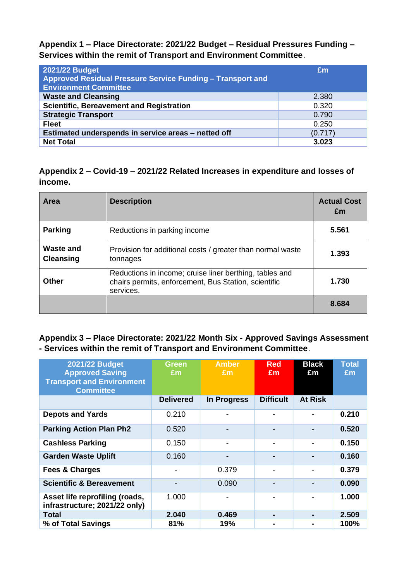**Appendix 1 – Place Directorate: 2021/22 Budget – Residual Pressures Funding – Services within the remit of Transport and Environment Committee**.

| 2021/22 Budget<br>Approved Residual Pressure Service Funding - Transport and<br><b>Environment Committee</b> | Em      |
|--------------------------------------------------------------------------------------------------------------|---------|
| <b>Waste and Cleansing</b>                                                                                   | 2.380   |
| <b>Scientific, Bereavement and Registration</b>                                                              | 0.320   |
| <b>Strategic Transport</b>                                                                                   | 0.790   |
| <b>Fleet</b>                                                                                                 | 0.250   |
| Estimated underspends in service areas - netted off                                                          | (0.717) |
| <b>Net Total</b>                                                                                             | 3.023   |

**Appendix 2 – Covid-19 – 2021/22 Related Increases in expenditure and losses of income.**

| Area                          | <b>Description</b>                                                                                                           | <b>Actual Cost</b><br>£m |
|-------------------------------|------------------------------------------------------------------------------------------------------------------------------|--------------------------|
| <b>Parking</b>                | Reductions in parking income                                                                                                 | 5.561                    |
| Waste and<br><b>Cleansing</b> | Provision for additional costs / greater than normal waste<br>tonnages                                                       | 1.393                    |
| <b>Other</b>                  | Reductions in income; cruise liner berthing, tables and<br>chairs permits, enforcement, Bus Station, scientific<br>services. | 1.730                    |
|                               |                                                                                                                              | 8.684                    |

**Appendix 3 – Place Directorate: 2021/22 Month Six - Approved Savings Assessment - Services within the remit of Transport and Environment Committee**.

| <b>2021/22 Budget</b><br><b>Approved Saving</b><br><b>Transport and Environment</b><br><b>Committee</b> | Green<br>£m      | <b>Amber</b><br>Em | <b>Red</b><br>£m | <b>Black</b><br>£m | <b>Total</b><br>Em |
|---------------------------------------------------------------------------------------------------------|------------------|--------------------|------------------|--------------------|--------------------|
|                                                                                                         | <b>Delivered</b> | In Progress        | <b>Difficult</b> | <b>At Risk</b>     |                    |
| <b>Depots and Yards</b>                                                                                 | 0.210            |                    |                  |                    | 0.210              |
| <b>Parking Action Plan Ph2</b>                                                                          | 0.520            |                    |                  |                    | 0.520              |
| <b>Cashless Parking</b>                                                                                 | 0.150            |                    |                  |                    | 0.150              |
| <b>Garden Waste Uplift</b>                                                                              | 0.160            |                    |                  |                    | 0.160              |
| <b>Fees &amp; Charges</b>                                                                               |                  | 0.379              |                  |                    | 0.379              |
| <b>Scientific &amp; Bereavement</b>                                                                     |                  | 0.090              |                  |                    | 0.090              |
| Asset life reprofiling (roads,<br>infrastructure; 2021/22 only)                                         | 1.000            |                    |                  |                    | 1.000              |
| Total                                                                                                   | 2.040            | 0.469              | $\blacksquare$   |                    | 2.509              |
| % of Total Savings                                                                                      | 81%              | 19%                |                  |                    | <b>100%</b>        |